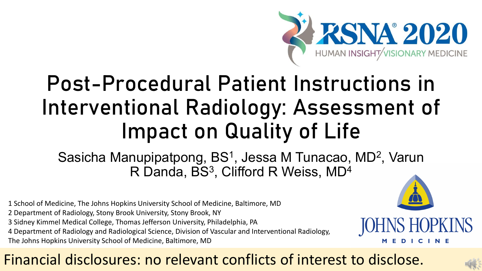

# Post-Procedural Patient Instructions in Interventional Radiology: Assessment of Impact on Quality of Life

Sasicha Manupipatpong, BS<sup>1</sup>, Jessa M Tunacao, MD<sup>2</sup>, Varun R Danda, BS<sup>3</sup>, Clifford R Weiss, MD<sup>4</sup>

- 1 School of Medicine, The Johns Hopkins University School of Medicine, Baltimore, MD
- 2 Department of Radiology, Stony Brook University, Stony Brook, NY
- 3 Sidney Kimmel Medical College, Thomas Jefferson University, Philadelphia, PA
- 4 Department of Radiology and Radiological Science, Division of Vascular and Interventional Radiology,
- The Johns Hopkins University School of Medicine, Baltimore, MD



#### Financial disclosures: no relevant conflicts of interest to disclose.

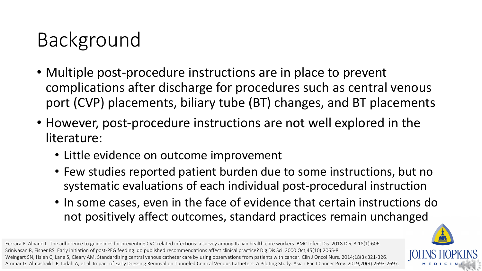# Background

- Multiple post-procedure instructions are in place to prevent complications after discharge for procedures such as central venous port (CVP) placements, biliary tube (BT) changes, and BT placements
- However, post-procedure instructions are not well explored in the literature:
	- Little evidence on outcome improvement
	- Few studies reported patient burden due to some instructions, but no systematic evaluations of each individual post-procedural instruction
	- In some cases, even in the face of evidence that certain instructions do not positively affect outcomes, standard practices remain unchanged

Ferrara P, Albano L. The adherence to guidelines for preventing CVC-related infections: a survey among Italian health-care workers. BMC Infect Dis. 2018 Dec 3;18(1):606. Srinivasan R, Fisher RS. Early initiation of post-PEG feeding: do published recommendations affect clinical practice? Dig Dis Sci. 2000 Oct;45(10):2065-8. Weingart SN, Hsieh C, Lane S, Cleary AM. Standardizing central venous catheter care by using observations from patients with cancer. Clin J Oncol Nurs. 2014;18(3):321-326. Ammar G, Almashaikh E, Ibdah A, et al. Impact of Early Dressing Removal on Tunneled Central Venous Catheters: A Piloting Study. Asian Pac J Cancer Prev. 2019;20(9):2693-2697.

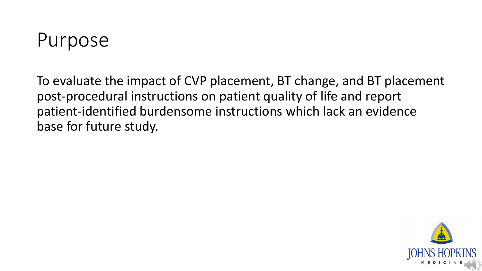

To evaluate the impact of CVP placement, BT change, and BT placement post-procedural instructions on patient quality of life and report patient-identified burdensome instructions which lack an evidence base for future study.

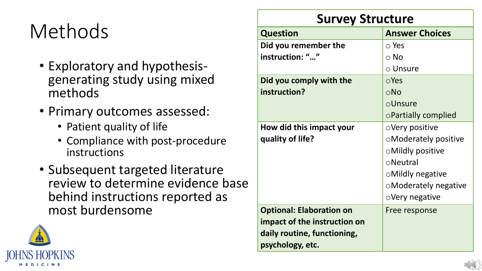# Methods

- Exploratory and hypothesis- generating study using mixed methods
- Primary outcomes assessed:
	- Patient quality of life
	- Compliance with post-procedure instructions
- Subsequent targeted literature review to determine evidence base behind instructions reported as most burdensome



#### **Survey Structure**

| <b>Answer Choices</b><br><b>Question</b><br>Did you remember the<br>$\circ$ Yes<br>instruction: ""<br>$\circ$ No<br>$\circ$ Unsure<br>Did you comply with the<br>$\circ$ Yes<br>instruction?<br>$\circ$ No<br>oUnsure<br>○Partially complied<br>How did this impact your<br>$\circ$ Very positive<br>quality of life?<br><b>OModerately positive</b><br><b>OMildly positive</b><br>$\circ$ Neutral<br>○Mildly negative<br>oModerately negative<br>$\circ$ Very negative<br><b>Optional: Elaboration on</b><br>Free response<br>impact of the instruction on<br>daily routine, functioning,<br>psychology, etc. |  |
|----------------------------------------------------------------------------------------------------------------------------------------------------------------------------------------------------------------------------------------------------------------------------------------------------------------------------------------------------------------------------------------------------------------------------------------------------------------------------------------------------------------------------------------------------------------------------------------------------------------|--|
|                                                                                                                                                                                                                                                                                                                                                                                                                                                                                                                                                                                                                |  |
|                                                                                                                                                                                                                                                                                                                                                                                                                                                                                                                                                                                                                |  |
|                                                                                                                                                                                                                                                                                                                                                                                                                                                                                                                                                                                                                |  |
|                                                                                                                                                                                                                                                                                                                                                                                                                                                                                                                                                                                                                |  |
|                                                                                                                                                                                                                                                                                                                                                                                                                                                                                                                                                                                                                |  |
|                                                                                                                                                                                                                                                                                                                                                                                                                                                                                                                                                                                                                |  |
|                                                                                                                                                                                                                                                                                                                                                                                                                                                                                                                                                                                                                |  |
|                                                                                                                                                                                                                                                                                                                                                                                                                                                                                                                                                                                                                |  |
|                                                                                                                                                                                                                                                                                                                                                                                                                                                                                                                                                                                                                |  |
|                                                                                                                                                                                                                                                                                                                                                                                                                                                                                                                                                                                                                |  |
|                                                                                                                                                                                                                                                                                                                                                                                                                                                                                                                                                                                                                |  |
|                                                                                                                                                                                                                                                                                                                                                                                                                                                                                                                                                                                                                |  |
|                                                                                                                                                                                                                                                                                                                                                                                                                                                                                                                                                                                                                |  |
|                                                                                                                                                                                                                                                                                                                                                                                                                                                                                                                                                                                                                |  |
|                                                                                                                                                                                                                                                                                                                                                                                                                                                                                                                                                                                                                |  |
|                                                                                                                                                                                                                                                                                                                                                                                                                                                                                                                                                                                                                |  |
|                                                                                                                                                                                                                                                                                                                                                                                                                                                                                                                                                                                                                |  |
|                                                                                                                                                                                                                                                                                                                                                                                                                                                                                                                                                                                                                |  |
|                                                                                                                                                                                                                                                                                                                                                                                                                                                                                                                                                                                                                |  |

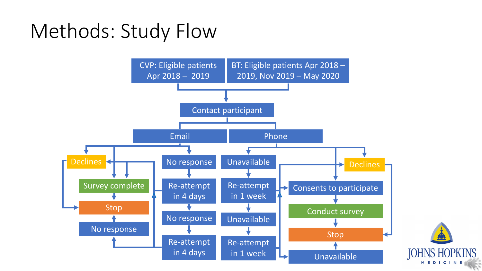## Methods: Study Flow

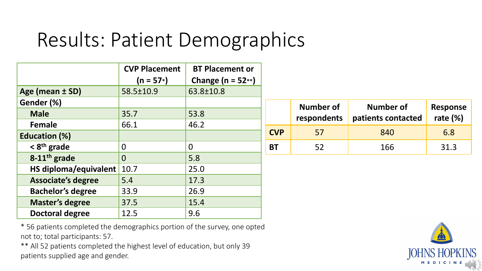### Results: Patient Demographics

|                           | <b>CVP Placement</b> | <b>BT Placement or</b> |                        |
|---------------------------|----------------------|------------------------|------------------------|
|                           | $(n = 57*)$          | Change ( $n = 52**$ )  |                        |
| Age (mean ± SD)           | 58.5±10.9            | 63.8±10.8              |                        |
| Gender (%)                |                      |                        |                        |
| <b>Male</b>               | 35.7                 | 53.8                   |                        |
| <b>Female</b>             | 66.1                 | 46.2                   |                        |
| <b>Education (%)</b>      |                      |                        | $\mathsf{C}\mathsf{V}$ |
| $<$ 8 <sup>th</sup> grade | $\Omega$             | $\Omega$               | <b>BT</b>              |
| 8-11 <sup>th</sup> grade  | $\Omega$             | 5.8                    |                        |
| HS diploma/equivalent     | 10.7                 | 25.0                   |                        |
| <b>Associate's degree</b> | 5.4                  | 17.3                   |                        |
| <b>Bachelor's degree</b>  | 33.9                 | 26.9                   |                        |
| <b>Master's degree</b>    | 37.5                 | 15.4                   |                        |
| <b>Doctoral degree</b>    | 12.5                 | 9.6                    |                        |

|            | <b>Number of</b><br>respondents | Number of<br>patients contacted | <b>Response</b><br>rate $(\%)$ |
|------------|---------------------------------|---------------------------------|--------------------------------|
| <b>CVP</b> | 57                              | 840                             | 6.8                            |
| ΒT         | 52                              | 166                             | 31.3                           |

\* 56 patients completed the demographics portion of the survey, one opted not to; total participants: 57.

\*\* All 52 patients completed the highest level of education, but only 39 patients supplied age and gender.

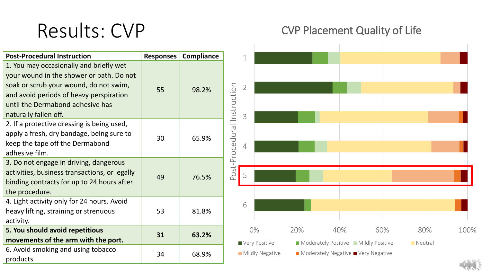### Results: CVP

#### CVP Placement Quality of Life

| <b>Post-Procedural Instruction</b>                                                                                                                                                                                                    | <b>Responses</b> | <b>Compliance</b> | $\overline{1}$                   |     |                                            |     |                |                            |
|---------------------------------------------------------------------------------------------------------------------------------------------------------------------------------------------------------------------------------------|------------------|-------------------|----------------------------------|-----|--------------------------------------------|-----|----------------|----------------------------|
| 1. You may occasionally and briefly wet<br>your wound in the shower or bath. Do not<br>soak or scrub your wound, do not swim,<br>and avoid periods of heavy perspiration<br>until the Dermabond adhesive has<br>naturally fallen off. | 55               | 98.2%             | $\overline{2}$<br>3              |     |                                            |     |                |                            |
| 2. If a protective dressing is being used,<br>apply a fresh, dry bandage, being sure to<br>keep the tape off the Dermabond<br>adhesive film.                                                                                          | 30               | 65.9%             | Post-Procedural Instruction<br>4 |     |                                            |     |                |                            |
| 3. Do not engage in driving, dangerous<br>activities, business transactions, or legally<br>binding contracts for up to 24 hours after<br>the procedure.                                                                               | 49               | 76.5%             | 5                                |     |                                            |     |                |                            |
| 4. Light activity only for 24 hours. Avoid<br>heavy lifting, straining or strenuous<br>activity.                                                                                                                                      | 53               | 81.8%             | 6                                |     |                                            |     |                |                            |
| 5. You should avoid repetitious<br>movements of the arm with the port.                                                                                                                                                                | 31               | 63.2%             | 0%<br>Very Positive              | 20% | 40%<br>Moderately Positive Mildly Positive | 60% | 80%<br>Neutral | 100%                       |
| 6. Avoid smoking and using tobacco<br>products.                                                                                                                                                                                       | 34               | 68.9%             | Mildly Negative                  |     | ■ Moderately Negative ■ Very Negative      |     |                | $\mathcal{L}(\mathcal{L})$ |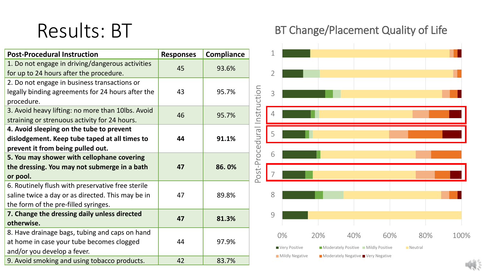### Results: BT

| <b>Post-Procedural Instruction</b>                | <b>Responses</b> | <b>Compliance</b> |  |
|---------------------------------------------------|------------------|-------------------|--|
| 1. Do not engage in driving/dangerous activities  | 45               | 93.6%             |  |
| for up to 24 hours after the procedure.           |                  |                   |  |
| 2. Do not engage in business transactions or      |                  |                   |  |
| legally binding agreements for 24 hours after the | 43               | 95.7%             |  |
| procedure.                                        |                  |                   |  |
| 3. Avoid heavy lifting: no more than 10lbs. Avoid | 46               | 95.7%             |  |
| straining or strenuous activity for 24 hours.     |                  |                   |  |
| 4. Avoid sleeping on the tube to prevent          |                  |                   |  |
| dislodgement. Keep tube taped at all times to     | 44               | 91.1%             |  |
| prevent it from being pulled out.                 |                  |                   |  |
| 5. You may shower with cellophane covering        |                  |                   |  |
| the dressing. You may not submerge in a bath      | 47               | 86.0%             |  |
| or pool.                                          |                  |                   |  |
| 6. Routinely flush with preservative free sterile |                  |                   |  |
| saline twice a day or as directed. This may be in | 47               | 89.8%             |  |
| the form of the pre-filled syringes.              |                  |                   |  |
| 7. Change the dressing daily unless directed      | 47               | 81.3%             |  |
| otherwise.                                        |                  |                   |  |
| 8. Have drainage bags, tubing and caps on hand    |                  |                   |  |
| at home in case your tube becomes clogged         | 44               | 97.9%             |  |
| and/or you develop a fever.                       |                  |                   |  |
| 9. Avoid smoking and using tobacco products.      | 42               | 83.7%             |  |

#### BT Change/Placement Quality of Life

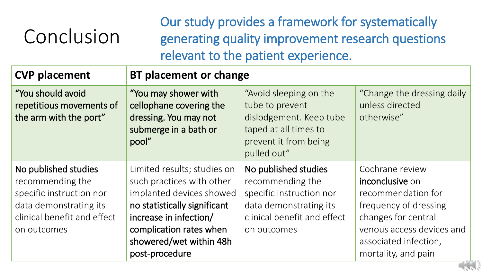# Conclusion

Our study provides a framework for systematically generating quality improvement research questions relevant to the patient experience.

| <b>CVP placement</b>                                                                                                                         | <b>BT placement or change</b>                                                                                                                                                                                          |                                                                                                                                              |                                                                                                                                                                                       |  |  |
|----------------------------------------------------------------------------------------------------------------------------------------------|------------------------------------------------------------------------------------------------------------------------------------------------------------------------------------------------------------------------|----------------------------------------------------------------------------------------------------------------------------------------------|---------------------------------------------------------------------------------------------------------------------------------------------------------------------------------------|--|--|
| "You should avoid<br>repetitious movements of<br>the arm with the port"                                                                      | "You may shower with<br>cellophane covering the<br>dressing. You may not<br>submerge in a bath or<br>pool"                                                                                                             | "Avoid sleeping on the<br>tube to prevent<br>dislodgement. Keep tube<br>taped at all times to<br>prevent it from being<br>pulled out"        | "Change the dressing daily<br>unless directed<br>otherwise"                                                                                                                           |  |  |
| No published studies<br>recommending the<br>specific instruction nor<br>data demonstrating its<br>clinical benefit and effect<br>on outcomes | Limited results; studies on<br>such practices with other<br>implanted devices showed<br>no statistically significant<br>increase in infection/<br>complication rates when<br>showered/wet within 48h<br>post-procedure | No published studies<br>recommending the<br>specific instruction nor<br>data demonstrating its<br>clinical benefit and effect<br>on outcomes | Cochrane review<br>inconclusive on<br>recommendation for<br>frequency of dressing<br>changes for central<br>venous access devices and<br>associated infection,<br>mortality, and pain |  |  |